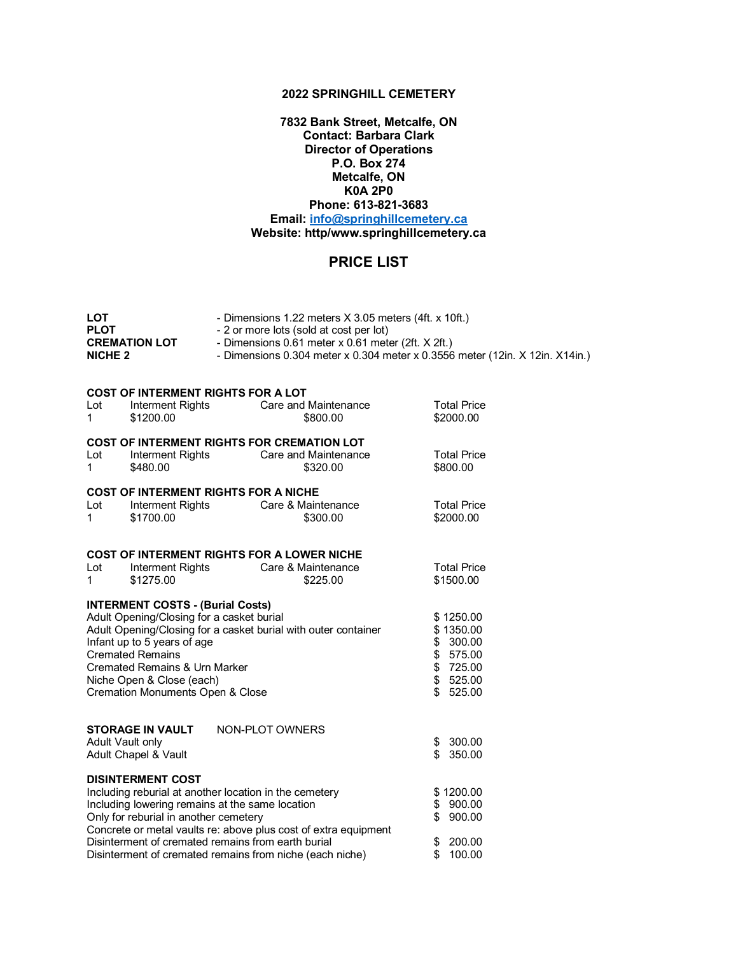## **2022 SPRINGHILL CEMETERY**

**7832 Bank Street, Metcalfe, ON Contact: Barbara Clark Director of Operations P.O. Box 274 Metcalfe, ON K0A 2P0 Phone: 613-821-3683 Email: info@springhillcemetery.ca Website: http/www.springhillcemetery.ca** 

## **PRICE LIST**

| LOT<br>PLOT<br><b>CREMATION LOT</b><br><b>NICHE 2</b>       |                                                                                      | - Dimensions 1.22 meters X 3.05 meters (4ft. x 10ft.)<br>- 2 or more lots (sold at cost per lot)<br>- Dimensions 0.61 meter x 0.61 meter (2ft. X 2ft.)<br>- Dimensions 0.304 meter x 0.304 meter x 0.3556 meter (12in. X 12in. X14in.) |                                 |  |  |  |  |  |
|-------------------------------------------------------------|--------------------------------------------------------------------------------------|----------------------------------------------------------------------------------------------------------------------------------------------------------------------------------------------------------------------------------------|---------------------------------|--|--|--|--|--|
| <b>COST OF INTERMENT RIGHTS FOR A LOT</b>                   |                                                                                      |                                                                                                                                                                                                                                        |                                 |  |  |  |  |  |
| Lot<br>$\mathbf{1}$                                         | Interment Rights<br>\$1200.00                                                        | Care and Maintenance<br>\$800.00                                                                                                                                                                                                       | <b>Total Price</b><br>\$2000.00 |  |  |  |  |  |
| <b>COST OF INTERMENT RIGHTS FOR CREMATION LOT</b>           |                                                                                      |                                                                                                                                                                                                                                        |                                 |  |  |  |  |  |
| Lot<br>$\mathbf 1$                                          | Interment Rights<br>\$480.00                                                         | Care and Maintenance<br>\$320.00                                                                                                                                                                                                       | <b>Total Price</b><br>\$800.00  |  |  |  |  |  |
| <b>COST OF INTERMENT RIGHTS FOR A NICHE</b>                 |                                                                                      |                                                                                                                                                                                                                                        |                                 |  |  |  |  |  |
| Lot<br>1                                                    | \$1700.00                                                                            | Interment Rights Care & Maintenance<br>\$300.00                                                                                                                                                                                        | <b>Total Price</b><br>\$2000.00 |  |  |  |  |  |
| <b>COST OF INTERMENT RIGHTS FOR A LOWER NICHE</b>           |                                                                                      |                                                                                                                                                                                                                                        |                                 |  |  |  |  |  |
| Lot<br>1                                                    | Interment Rights<br>\$1275.00                                                        | Care & Maintenance<br>\$225.00                                                                                                                                                                                                         | <b>Total Price</b><br>\$1500.00 |  |  |  |  |  |
|                                                             | <b>INTERMENT COSTS - (Burial Costs)</b><br>Adult Opening/Closing for a casket burial |                                                                                                                                                                                                                                        |                                 |  |  |  |  |  |
|                                                             |                                                                                      | Adult Opening/Closing for a casket burial with outer container                                                                                                                                                                         | \$1250.00<br>\$1350.00          |  |  |  |  |  |
|                                                             | Infant up to 5 years of age<br><b>Cremated Remains</b>                               |                                                                                                                                                                                                                                        | \$<br>300.00<br>\$<br>575.00    |  |  |  |  |  |
|                                                             | <b>Cremated Remains &amp; Urn Marker</b>                                             |                                                                                                                                                                                                                                        | $\frac{1}{2}$<br>725.00         |  |  |  |  |  |
|                                                             | Niche Open & Close (each)                                                            |                                                                                                                                                                                                                                        | \$<br>525.00                    |  |  |  |  |  |
| \$<br><b>Cremation Monuments Open &amp; Close</b><br>525.00 |                                                                                      |                                                                                                                                                                                                                                        |                                 |  |  |  |  |  |
|                                                             | <b>STORAGE IN VAULT</b>                                                              | NON-PLOT OWNERS                                                                                                                                                                                                                        |                                 |  |  |  |  |  |
|                                                             | Adult Vault only<br>Adult Chapel & Vault                                             |                                                                                                                                                                                                                                        | 300.00<br>\$<br>\$<br>350.00    |  |  |  |  |  |
|                                                             | <b>DISINTERMENT COST</b>                                                             |                                                                                                                                                                                                                                        |                                 |  |  |  |  |  |
|                                                             |                                                                                      | Including reburial at another location in the cemetery<br>Including lowering remains at the same location                                                                                                                              | \$1200.00<br>\$<br>900.00       |  |  |  |  |  |
|                                                             | Only for reburial in another cemetery                                                | \$<br>900.00                                                                                                                                                                                                                           |                                 |  |  |  |  |  |
|                                                             | Concrete or metal vaults re: above plus cost of extra equipment                      |                                                                                                                                                                                                                                        |                                 |  |  |  |  |  |
|                                                             |                                                                                      | Disinterment of cremated remains from earth burial                                                                                                                                                                                     | \$<br>200.00<br>\$<br>100.00    |  |  |  |  |  |
| Disinterment of cremated remains from niche (each niche)    |                                                                                      |                                                                                                                                                                                                                                        |                                 |  |  |  |  |  |